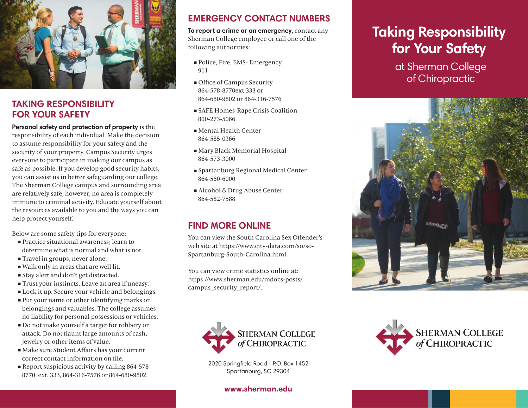

# **TAKING RESPONSIBILITY FOR YOUR SAFETY**

#### **Personal safety and protection of property** is the

responsibility of each individual. Make the decision to assume responsibility for your safety and the security of your property. Campus Security urges everyone to participate in making our campus as safe as possible. If you develop good security habits, you can assist us in better safeguarding our college. The Sherman College campus and surrounding area are relatively safe, however, no area is completely immune to criminal activity. Educate yourself about the resources available to you and the ways you can help protect yourself.

Below are some safety tips for everyone:

- **Practice situational awareness: learn to** determine what is normal and what is not.
- Travel in groups, never alone.
- Walk only in areas that are well lit.
- Stay alert and don't get distracted.
- Trust your instincts. Leave an area if uneasy.
- Lock it up. Secure your vehicle and belongings.
- Put your name or other identifying marks on belongings and valuables. The college assumes no liability for personal possessions or vehicles.
- Do not make yourself a target for robbery or attack. Do not flaunt large amounts of cash, jewelry or other items of value.
- Make sure Student Affairs has your current correct contact information on file.
- Report suspicious activity by calling 864-578- 8770, ext. 333, 864-316-7576 or 864-680-9802.

# **EMERGENCY CONTACT NUMBERS**

**To report a crime or an emergency,** contact any Sherman College employee or call one of the following authorities:

- Police, Fire, EMS- Emergency 911
- Office of Campus Security 864-578-8770ext.333 or 864-680-9802 or 864-316-7576
- SAFE Homes-Rape Crisis Coalition 800-273-5066
- Mental Health Center 864-585-0366
- Mary Black Memorial Hospital 864-573-3000
- Spartanburg Regional Medical Center 864-560-6000
- Alcohol & Drug Abuse Center 864-582-7588

# **FIND MORE ONLINE**

You can view the South Carolina Sex Offender's web site at https://www.city-data.com/so/so-Spartanburg-South-Carolina.html.

You can view crime statistics online at: https://www.sherman.edu/mdocs-posts/ campus\_security\_report/.



2020 Springfield Road | P.O. Box 1452 Spartanburg, SC 29304

#### **www.sherman.edu**

# **Taking Responsibility for Your Safety**

at Sherman College of Chiropractic